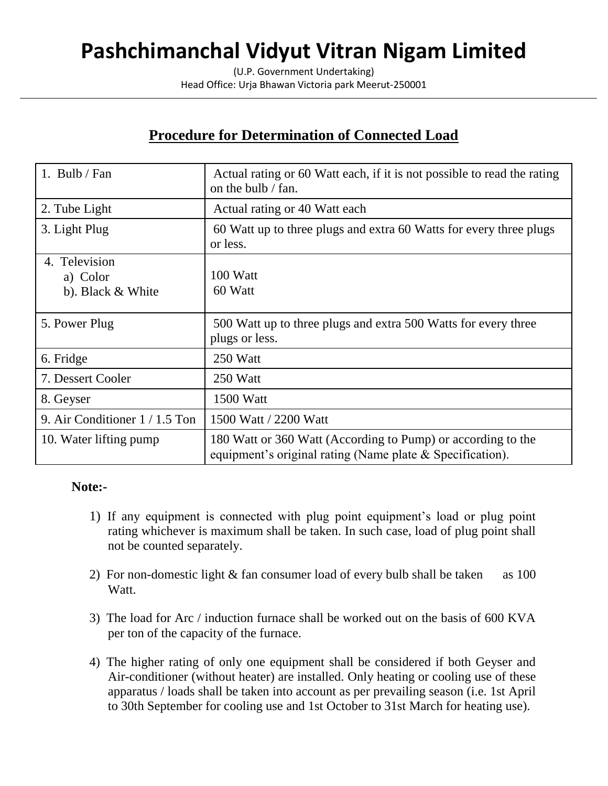# **Pashchimanchal Vidyut Vitran Nigam Limited**

(U.P. Government Undertaking) Head Office: Urja Bhawan Victoria park Meerut-250001

### **Procedure for Determination of Connected Load**

| 1. Bulb / Fan                                  | Actual rating or 60 Watt each, if it is not possible to read the rating<br>on the bulb / fan.                                |
|------------------------------------------------|------------------------------------------------------------------------------------------------------------------------------|
| 2. Tube Light                                  | Actual rating or 40 Watt each                                                                                                |
| 3. Light Plug                                  | 60 Watt up to three plugs and extra 60 Watts for every three plugs<br>or less.                                               |
| 4. Television<br>a) Color<br>b). Black & White | 100 Watt<br>60 Watt                                                                                                          |
| 5. Power Plug                                  | 500 Watt up to three plugs and extra 500 Watts for every three<br>plugs or less.                                             |
| 6. Fridge                                      | 250 Watt                                                                                                                     |
| 7. Dessert Cooler                              | 250 Watt                                                                                                                     |
| 8. Geyser                                      | 1500 Watt                                                                                                                    |
| 9. Air Conditioner $1/1.5$ Ton                 | 1500 Watt / 2200 Watt                                                                                                        |
| 10. Water lifting pump                         | 180 Watt or 360 Watt (According to Pump) or according to the<br>equipment's original rating (Name plate $\&$ Specification). |

### **Note:-**

- 1) If any equipment is connected with plug point equipment's load or plug point rating whichever is maximum shall be taken. In such case, load of plug point shall not be counted separately.
- 2) For non-domestic light & fan consumer load of every bulb shall be taken as 100 Watt.
- 3) The load for Arc / induction furnace shall be worked out on the basis of 600 KVA per ton of the capacity of the furnace.
- 4) The higher rating of only one equipment shall be considered if both Geyser and Air-conditioner (without heater) are installed. Only heating or cooling use of these apparatus / loads shall be taken into account as per prevailing season (i.e. 1st April to 30th September for cooling use and 1st October to 31st March for heating use).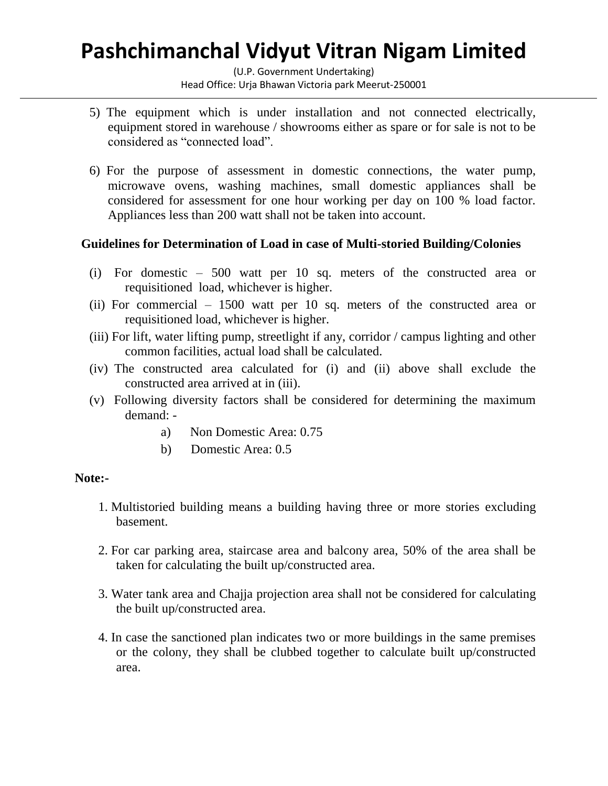## **Pashchimanchal Vidyut Vitran Nigam Limited**

(U.P. Government Undertaking) Head Office: Urja Bhawan Victoria park Meerut-250001

- 5) The equipment which is under installation and not connected electrically, equipment stored in warehouse / showrooms either as spare or for sale is not to be considered as "connected load".
- 6) For the purpose of assessment in domestic connections, the water pump, microwave ovens, washing machines, small domestic appliances shall be considered for assessment for one hour working per day on 100 % load factor. Appliances less than 200 watt shall not be taken into account.

#### **Guidelines for Determination of Load in case of Multi-storied Building/Colonies**

- (i) For domestic 500 watt per 10 sq. meters of the constructed area or requisitioned load, whichever is higher.
- (ii) For commercial 1500 watt per 10 sq. meters of the constructed area or requisitioned load, whichever is higher.
- (iii) For lift, water lifting pump, streetlight if any, corridor / campus lighting and other common facilities, actual load shall be calculated.
- (iv) The constructed area calculated for (i) and (ii) above shall exclude the constructed area arrived at in (iii).
- (v) Following diversity factors shall be considered for determining the maximum demand:
	- a) Non Domestic Area: 0.75
	- b) Domestic Area: 0.5

#### **Note:-**

- 1. Multistoried building means a building having three or more stories excluding basement.
- 2. For car parking area, staircase area and balcony area, 50% of the area shall be taken for calculating the built up/constructed area.
- 3. Water tank area and Chajja projection area shall not be considered for calculating the built up/constructed area.
- 4. In case the sanctioned plan indicates two or more buildings in the same premises or the colony, they shall be clubbed together to calculate built up/constructed area.